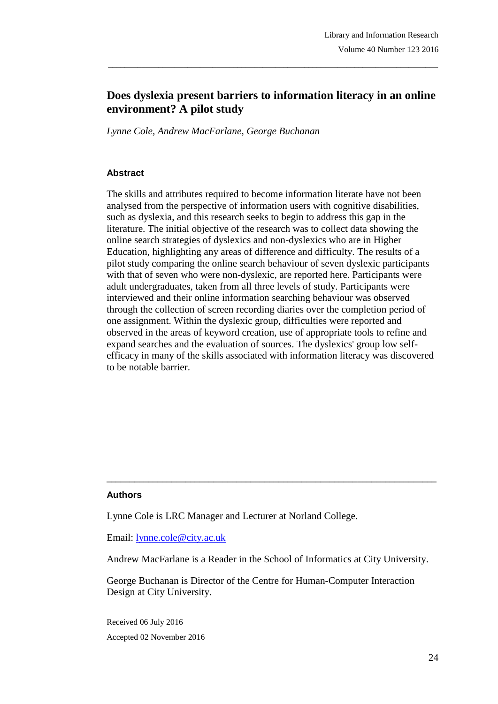# **Does dyslexia present barriers to information literacy in an online environment? A pilot study**

\_\_\_\_\_\_\_\_\_\_\_\_\_\_\_\_\_\_\_\_\_\_\_\_\_\_\_\_\_\_\_\_\_\_\_\_\_\_\_\_\_\_\_\_\_\_\_\_\_\_\_\_\_\_\_\_\_\_\_\_\_\_\_\_\_\_\_\_\_\_\_\_\_\_\_\_\_\_\_

*Lynne Cole, Andrew MacFarlane, George Buchanan*

### **Abstract**

The skills and attributes required to become information literate have not been analysed from the perspective of information users with cognitive disabilities, such as dyslexia, and this research seeks to begin to address this gap in the literature. The initial objective of the research was to collect data showing the online search strategies of dyslexics and non-dyslexics who are in Higher Education, highlighting any areas of difference and difficulty. The results of a pilot study comparing the online search behaviour of seven dyslexic participants with that of seven who were non-dyslexic, are reported here. Participants were adult undergraduates, taken from all three levels of study. Participants were interviewed and their online information searching behaviour was observed through the collection of screen recording diaries over the completion period of one assignment. Within the dyslexic group, difficulties were reported and observed in the areas of keyword creation, use of appropriate tools to refine and expand searches and the evaluation of sources. The dyslexics' group low selfefficacy in many of the skills associated with information literacy was discovered to be notable barrier.

### **Authors**

Lynne Cole is LRC Manager and Lecturer at Norland College.

Email: [lynne.cole@city.ac.uk](mailto:lynne.cole@city.ac.uk)

Andrew MacFarlane is a Reader in the School of Informatics at City University.

\_\_\_\_\_\_\_\_\_\_\_\_\_\_\_\_\_\_\_\_\_\_\_\_\_\_\_\_\_\_\_\_\_\_\_\_\_\_\_\_\_\_\_\_\_\_\_\_\_\_\_\_\_\_\_\_\_\_\_\_\_\_\_\_\_\_\_\_\_\_\_

George Buchanan is Director of the Centre for Human-Computer Interaction Design at City University.

Received 06 July 2016 Accepted 02 November 2016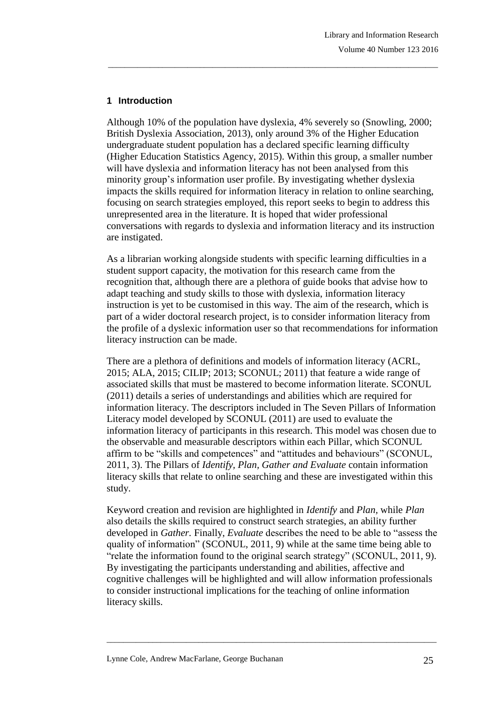# **1 Introduction**

Although 10% of the population have dyslexia, 4% severely so (Snowling, 2000; British Dyslexia Association, 2013), only around 3% of the Higher Education undergraduate student population has a declared specific learning difficulty (Higher Education Statistics Agency, 2015). Within this group, a smaller number will have dyslexia and information literacy has not been analysed from this minority group's information user profile. By investigating whether dyslexia impacts the skills required for information literacy in relation to online searching, focusing on search strategies employed, this report seeks to begin to address this unrepresented area in the literature. It is hoped that wider professional conversations with regards to dyslexia and information literacy and its instruction are instigated.

\_\_\_\_\_\_\_\_\_\_\_\_\_\_\_\_\_\_\_\_\_\_\_\_\_\_\_\_\_\_\_\_\_\_\_\_\_\_\_\_\_\_\_\_\_\_\_\_\_\_\_\_\_\_\_\_\_\_\_\_\_\_\_\_\_\_\_\_\_\_\_\_\_\_\_\_\_\_\_

As a librarian working alongside students with specific learning difficulties in a student support capacity, the motivation for this research came from the recognition that, although there are a plethora of guide books that advise how to adapt teaching and study skills to those with dyslexia, information literacy instruction is yet to be customised in this way. The aim of the research, which is part of a wider doctoral research project, is to consider information literacy from the profile of a dyslexic information user so that recommendations for information literacy instruction can be made.

There are a plethora of definitions and models of information literacy (ACRL, 2015; ALA, 2015; CILIP; 2013; SCONUL; 2011) that feature a wide range of associated skills that must be mastered to become information literate. SCONUL (2011) details a series of understandings and abilities which are required for information literacy. The descriptors included in The Seven Pillars of Information Literacy model developed by SCONUL (2011) are used to evaluate the information literacy of participants in this research. This model was chosen due to the observable and measurable descriptors within each Pillar, which SCONUL affirm to be "skills and competences" and "attitudes and behaviours" (SCONUL, 2011, 3). The Pillars of *Identify, Plan, Gather and Evaluate* contain information literacy skills that relate to online searching and these are investigated within this study.

Keyword creation and revision are highlighted in *Identify* and *Plan,* while *Plan*  also details the skills required to construct search strategies, an ability further developed in *Gather.* Finally, *Evaluate* describes the need to be able to "assess the quality of information" (SCONUL, 2011, 9) while at the same time being able to "relate the information found to the original search strategy" (SCONUL, 2011, 9). By investigating the participants understanding and abilities, affective and cognitive challenges will be highlighted and will allow information professionals to consider instructional implications for the teaching of online information literacy skills.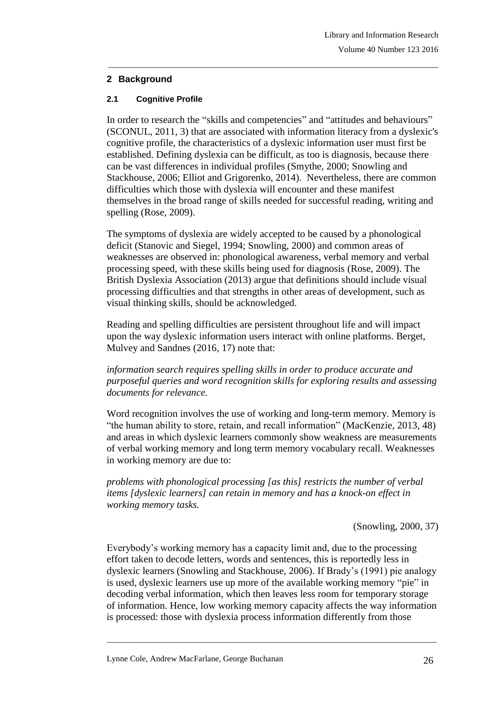## **2 Background**

### **2.1 Cognitive Profile**

In order to research the "skills and competencies" and "attitudes and behaviours" (SCONUL, 2011, 3) that are associated with information literacy from a dyslexic's cognitive profile, the characteristics of a dyslexic information user must first be established. Defining dyslexia can be difficult, as too is diagnosis, because there can be vast differences in individual profiles (Smythe, 2000; Snowling and Stackhouse, 2006; Elliot and Grigorenko, 2014). Nevertheless, there are common difficulties which those with dyslexia will encounter and these manifest themselves in the broad range of skills needed for successful reading, writing and spelling (Rose, 2009).

\_\_\_\_\_\_\_\_\_\_\_\_\_\_\_\_\_\_\_\_\_\_\_\_\_\_\_\_\_\_\_\_\_\_\_\_\_\_\_\_\_\_\_\_\_\_\_\_\_\_\_\_\_\_\_\_\_\_\_\_\_\_\_\_\_\_\_\_\_\_\_\_\_\_\_\_\_\_\_

The symptoms of dyslexia are widely accepted to be caused by a phonological deficit (Stanovic and Siegel, 1994; Snowling, 2000) and common areas of weaknesses are observed in: phonological awareness, verbal memory and verbal processing speed, with these skills being used for diagnosis (Rose, 2009). The British Dyslexia Association (2013) argue that definitions should include visual processing difficulties and that strengths in other areas of development, such as visual thinking skills, should be acknowledged.

Reading and spelling difficulties are persistent throughout life and will impact upon the way dyslexic information users interact with online platforms. Berget, Mulvey and Sandnes (2016, 17) note that:

*information search requires spelling skills in order to produce accurate and purposeful queries and word recognition skills for exploring results and assessing documents for relevance.*

Word recognition involves the use of working and long-term memory. Memory is "the human ability to store, retain, and recall information" (MacKenzie, 2013, 48) and areas in which dyslexic learners commonly show weakness are measurements of verbal working memory and long term memory vocabulary recall. Weaknesses in working memory are due to:

*problems with phonological processing [as this] restricts the number of verbal items [dyslexic learners] can retain in memory and has a knock-on effect in working memory tasks.*

### (Snowling, 2000, 37)

Everybody's working memory has a capacity limit and, due to the processing effort taken to decode letters, words and sentences, this is reportedly less in dyslexic learners (Snowling and Stackhouse, 2006). If Brady's (1991) pie analogy is used, dyslexic learners use up more of the available working memory "pie" in decoding verbal information, which then leaves less room for temporary storage of information. Hence, low working memory capacity affects the way information is processed: those with dyslexia process information differently from those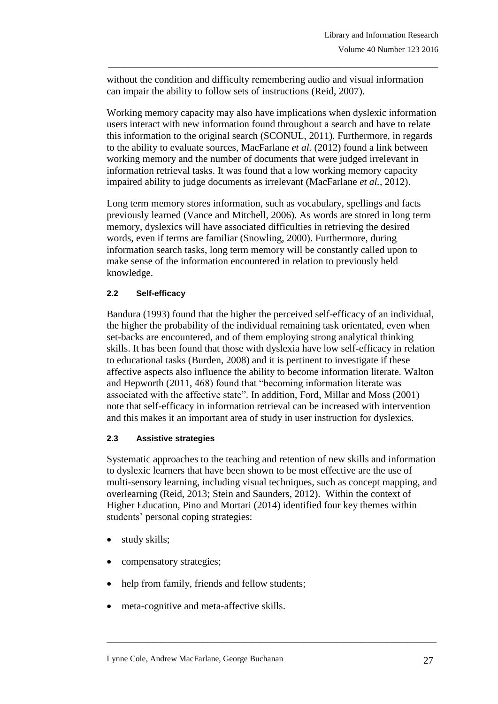without the condition and difficulty remembering audio and visual information can impair the ability to follow sets of instructions (Reid, 2007).

\_\_\_\_\_\_\_\_\_\_\_\_\_\_\_\_\_\_\_\_\_\_\_\_\_\_\_\_\_\_\_\_\_\_\_\_\_\_\_\_\_\_\_\_\_\_\_\_\_\_\_\_\_\_\_\_\_\_\_\_\_\_\_\_\_\_\_\_\_\_\_\_\_\_\_\_\_\_\_

Working memory capacity may also have implications when dyslexic information users interact with new information found throughout a search and have to relate this information to the original search (SCONUL, 2011). Furthermore, in regards to the ability to evaluate sources, MacFarlane *et al.* (2012) found a link between working memory and the number of documents that were judged irrelevant in information retrieval tasks. It was found that a low working memory capacity impaired ability to judge documents as irrelevant (MacFarlane *et al.,* 2012).

Long term memory stores information, such as vocabulary, spellings and facts previously learned (Vance and Mitchell, 2006). As words are stored in long term memory, dyslexics will have associated difficulties in retrieving the desired words, even if terms are familiar (Snowling, 2000). Furthermore, during information search tasks, long term memory will be constantly called upon to make sense of the information encountered in relation to previously held knowledge.

## **2.2 Self-efficacy**

Bandura (1993) found that the higher the perceived self-efficacy of an individual, the higher the probability of the individual remaining task orientated*,* even when set-backs are encountered, and of them employing strong analytical thinking skills. It has been found that those with dyslexia have low self-efficacy in relation to educational tasks (Burden, 2008) and it is pertinent to investigate if these affective aspects also influence the ability to become information literate. Walton and Hepworth (2011, 468) found that "becoming information literate was associated with the affective state". In addition, Ford, Millar and Moss (2001) note that self-efficacy in information retrieval can be increased with intervention and this makes it an important area of study in user instruction for dyslexics.

### **2.3 Assistive strategies**

Systematic approaches to the teaching and retention of new skills and information to dyslexic learners that have been shown to be most effective are the use of multi-sensory learning, including visual techniques, such as concept mapping, and overlearning (Reid, 2013; Stein and Saunders, 2012). Within the context of Higher Education, Pino and Mortari (2014) identified four key themes within students' personal coping strategies:

- study skills;
- compensatory strategies;
- help from family, friends and fellow students;
- meta-cognitive and meta-affective skills.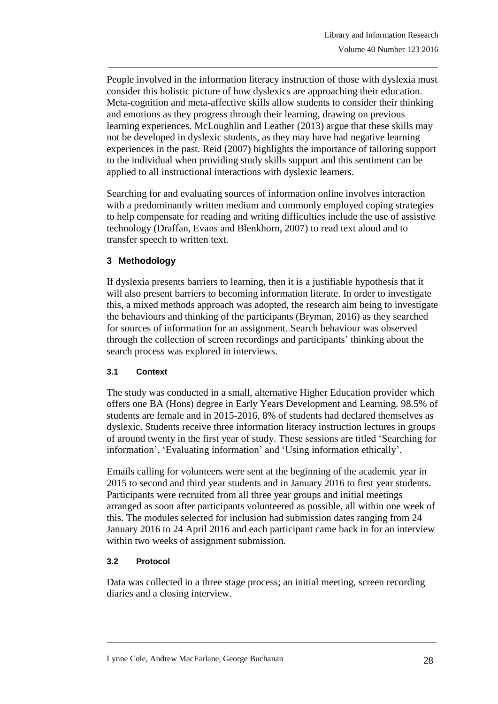People involved in the information literacy instruction of those with dyslexia must consider this holistic picture of how dyslexics are approaching their education. Meta-cognition and meta-affective skills allow students to consider their thinking and emotions as they progress through their learning, drawing on previous learning experiences. McLoughlin and Leather (2013) argue that these skills may not be developed in dyslexic students, as they may have had negative learning experiences in the past. Reid (2007) highlights the importance of tailoring support to the individual when providing study skills support and this sentiment can be applied to all instructional interactions with dyslexic learners.

\_\_\_\_\_\_\_\_\_\_\_\_\_\_\_\_\_\_\_\_\_\_\_\_\_\_\_\_\_\_\_\_\_\_\_\_\_\_\_\_\_\_\_\_\_\_\_\_\_\_\_\_\_\_\_\_\_\_\_\_\_\_\_\_\_\_\_\_\_\_\_\_\_\_\_\_\_\_\_

Searching for and evaluating sources of information online involves interaction with a predominantly written medium and commonly employed coping strategies to help compensate for reading and writing difficulties include the use of assistive technology (Draffan, Evans and Blenkhorn, 2007) to read text aloud and to transfer speech to written text.

## **3 Methodology**

If dyslexia presents barriers to learning, then it is a justifiable hypothesis that it will also present barriers to becoming information literate. In order to investigate this, a mixed methods approach was adopted, the research aim being to investigate the behaviours and thinking of the participants (Bryman, 2016) as they searched for sources of information for an assignment. Search behaviour was observed through the collection of screen recordings and participants' thinking about the search process was explored in interviews.

## **3.1 Context**

The study was conducted in a small, alternative Higher Education provider which offers one BA (Hons) degree in Early Years Development and Learning. 98.5% of students are female and in 2015-2016, 8% of students had declared themselves as dyslexic. Students receive three information literacy instruction lectures in groups of around twenty in the first year of study. These sessions are titled 'Searching for information', 'Evaluating information' and 'Using information ethically'.

Emails calling for volunteers were sent at the beginning of the academic year in 2015 to second and third year students and in January 2016 to first year students. Participants were recruited from all three year groups and initial meetings arranged as soon after participants volunteered as possible, all within one week of this. The modules selected for inclusion had submission dates ranging from 24 January 2016 to 24 April 2016 and each participant came back in for an interview within two weeks of assignment submission.

## **3.2 Protocol**

Data was collected in a three stage process; an initial meeting, screen recording diaries and a closing interview.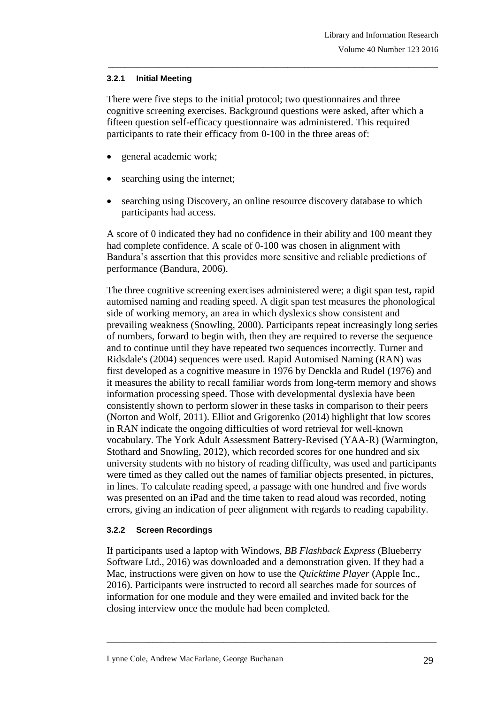## **3.2.1 Initial Meeting**

There were five steps to the initial protocol; two questionnaires and three cognitive screening exercises. Background questions were asked, after which a fifteen question self-efficacy questionnaire was administered. This required participants to rate their efficacy from 0-100 in the three areas of:

\_\_\_\_\_\_\_\_\_\_\_\_\_\_\_\_\_\_\_\_\_\_\_\_\_\_\_\_\_\_\_\_\_\_\_\_\_\_\_\_\_\_\_\_\_\_\_\_\_\_\_\_\_\_\_\_\_\_\_\_\_\_\_\_\_\_\_\_\_\_\_\_\_\_\_\_\_\_\_

- general academic work;
- searching using the internet;
- searching using Discovery, an online resource discovery database to which participants had access.

A score of 0 indicated they had no confidence in their ability and 100 meant they had complete confidence. A scale of 0-100 was chosen in alignment with Bandura's assertion that this provides more sensitive and reliable predictions of performance (Bandura, 2006).

The three cognitive screening exercises administered were; a digit span test**,** rapid automised naming and reading speed. A digit span test measures the phonological side of working memory, an area in which dyslexics show consistent and prevailing weakness (Snowling, 2000). Participants repeat increasingly long series of numbers, forward to begin with, then they are required to reverse the sequence and to continue until they have repeated two sequences incorrectly. Turner and Ridsdale's (2004) sequences were used. Rapid Automised Naming (RAN) was first developed as a cognitive measure in 1976 by Denckla and Rudel (1976) and it measures the ability to recall familiar words from long-term memory and shows information processing speed. Those with developmental dyslexia have been consistently shown to perform slower in these tasks in comparison to their peers (Norton and Wolf, 2011). Elliot and Grigorenko (2014) highlight that low scores in RAN indicate the ongoing difficulties of word retrieval for well-known vocabulary. The York Adult Assessment Battery-Revised (YAA-R) (Warmington, Stothard and Snowling, 2012), which recorded scores for one hundred and six university students with no history of reading difficulty, was used and participants were timed as they called out the names of familiar objects presented, in pictures, in lines. To calculate reading speed, a passage with one hundred and five words was presented on an iPad and the time taken to read aloud was recorded, noting errors, giving an indication of peer alignment with regards to reading capability.

## **3.2.2 Screen Recordings**

If participants used a laptop with Windows, *BB Flashback Express* (Blueberry Software Ltd., 2016) was downloaded and a demonstration given. If they had a Mac, instructions were given on how to use the *Quicktime Player* (Apple Inc., 2016). Participants were instructed to record all searches made for sources of information for one module and they were emailed and invited back for the closing interview once the module had been completed.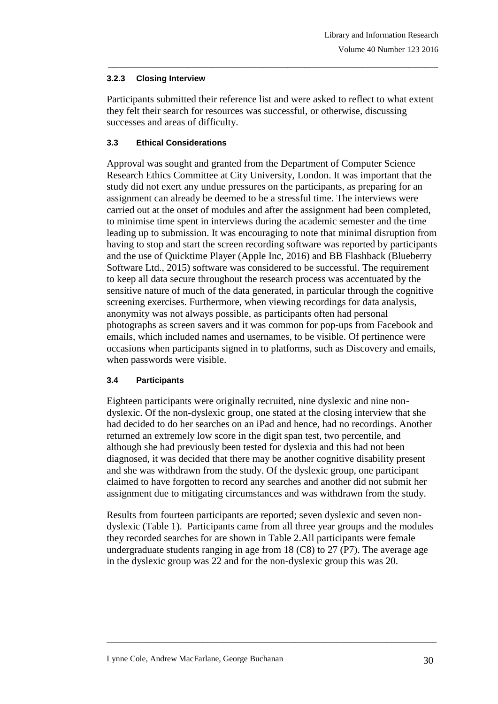## **3.2.3 Closing Interview**

Participants submitted their reference list and were asked to reflect to what extent they felt their search for resources was successful, or otherwise, discussing successes and areas of difficulty.

\_\_\_\_\_\_\_\_\_\_\_\_\_\_\_\_\_\_\_\_\_\_\_\_\_\_\_\_\_\_\_\_\_\_\_\_\_\_\_\_\_\_\_\_\_\_\_\_\_\_\_\_\_\_\_\_\_\_\_\_\_\_\_\_\_\_\_\_\_\_\_\_\_\_\_\_\_\_\_

# **3.3 Ethical Considerations**

Approval was sought and granted from the Department of Computer Science Research Ethics Committee at City University, London. It was important that the study did not exert any undue pressures on the participants, as preparing for an assignment can already be deemed to be a stressful time. The interviews were carried out at the onset of modules and after the assignment had been completed, to minimise time spent in interviews during the academic semester and the time leading up to submission. It was encouraging to note that minimal disruption from having to stop and start the screen recording software was reported by participants and the use of Quicktime Player (Apple Inc, 2016) and BB Flashback (Blueberry Software Ltd., 2015) software was considered to be successful. The requirement to keep all data secure throughout the research process was accentuated by the sensitive nature of much of the data generated, in particular through the cognitive screening exercises. Furthermore, when viewing recordings for data analysis, anonymity was not always possible, as participants often had personal photographs as screen savers and it was common for pop-ups from Facebook and emails, which included names and usernames, to be visible. Of pertinence were occasions when participants signed in to platforms, such as Discovery and emails, when passwords were visible.

## **3.4 Participants**

Eighteen participants were originally recruited, nine dyslexic and nine nondyslexic. Of the non-dyslexic group, one stated at the closing interview that she had decided to do her searches on an iPad and hence, had no recordings. Another returned an extremely low score in the digit span test, two percentile, and although she had previously been tested for dyslexia and this had not been diagnosed, it was decided that there may be another cognitive disability present and she was withdrawn from the study. Of the dyslexic group, one participant claimed to have forgotten to record any searches and another did not submit her assignment due to mitigating circumstances and was withdrawn from the study.

Results from fourteen participants are reported; seven dyslexic and seven nondyslexic (Table 1). Participants came from all three year groups and the modules they recorded searches for are shown in Table 2.All participants were female undergraduate students ranging in age from 18 (C8) to 27 (P7). The average age in the dyslexic group was 22 and for the non-dyslexic group this was 20.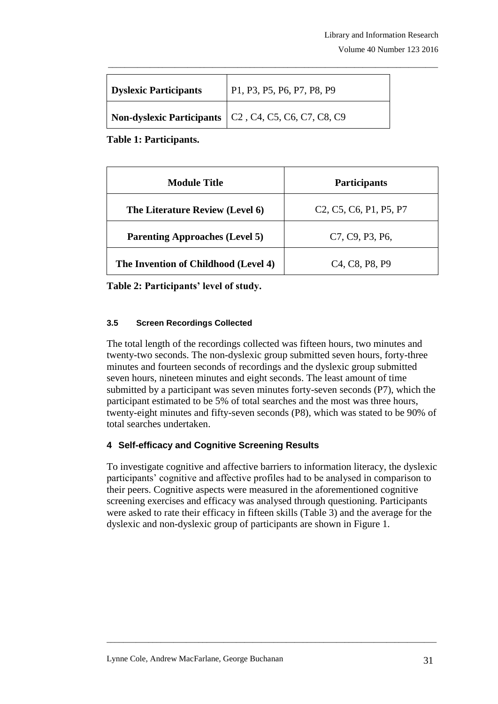| <b>Dyslexic Participants</b> | P1, P3, P5, P6, P7, P8, P9                                                                                                                              |
|------------------------------|---------------------------------------------------------------------------------------------------------------------------------------------------------|
|                              | <b>Non-dyslexic Participants</b>   C <sub>2</sub> , C <sub>4</sub> , C <sub>5</sub> , C <sub>6</sub> , C <sub>7</sub> , C <sub>8</sub> , C <sub>9</sub> |

**Table 1: Participants.**

| <b>Module Title</b>                   | <b>Participants</b>                                                                                 |
|---------------------------------------|-----------------------------------------------------------------------------------------------------|
| The Literature Review (Level 6)       | C <sub>2</sub> , C <sub>5</sub> , C <sub>6</sub> , P <sub>1</sub> , P <sub>5</sub> , P <sub>7</sub> |
| <b>Parenting Approaches (Level 5)</b> | C7, C9, P3, P6,                                                                                     |
| The Invention of Childhood (Level 4)  | C <sub>4</sub> , C <sub>8</sub> , P <sub>8</sub> , P <sub>9</sub>                                   |

**Table 2: Participants' level of study.**

### **3.5 Screen Recordings Collected**

The total length of the recordings collected was fifteen hours, two minutes and twenty-two seconds. The non-dyslexic group submitted seven hours, forty-three minutes and fourteen seconds of recordings and the dyslexic group submitted seven hours, nineteen minutes and eight seconds. The least amount of time submitted by a participant was seven minutes forty-seven seconds (P7), which the participant estimated to be 5% of total searches and the most was three hours, twenty-eight minutes and fifty-seven seconds (P8), which was stated to be 90% of total searches undertaken.

# **4 Self-efficacy and Cognitive Screening Results**

To investigate cognitive and affective barriers to information literacy, the dyslexic participants' cognitive and affective profiles had to be analysed in comparison to their peers. Cognitive aspects were measured in the aforementioned cognitive screening exercises and efficacy was analysed through questioning. Participants were asked to rate their efficacy in fifteen skills (Table 3) and the average for the dyslexic and non-dyslexic group of participants are shown in Figure 1.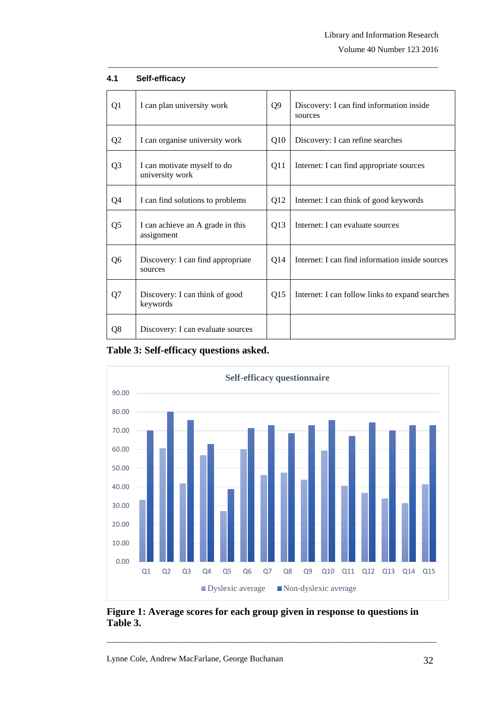Volume 40 Number 123 2016

| Q1             | I can plan university work                     | Q <sub>9</sub> | Discovery: I can find information inside<br>sources |
|----------------|------------------------------------------------|----------------|-----------------------------------------------------|
| Q2             | I can organise university work                 | Q10            | Discovery: I can refine searches                    |
| Q <sub>3</sub> | I can motivate myself to do<br>university work | Q11            | Internet: I can find appropriate sources            |
| Q4             | I can find solutions to problems               | Q12            | Internet: I can think of good keywords              |
| Q <sub>5</sub> | I can achieve an A grade in this<br>assignment | Q13            | Internet: I can evaluate sources                    |
| Q <sub>6</sub> | Discovery: I can find appropriate<br>sources   | Q14            | Internet: I can find information inside sources     |
| Q7             | Discovery: I can think of good<br>keywords     | Q15            | Internet: I can follow links to expand searches     |
| Q8             | Discovery: I can evaluate sources              |                |                                                     |

\_\_\_\_\_\_\_\_\_\_\_\_\_\_\_\_\_\_\_\_\_\_\_\_\_\_\_\_\_\_\_\_\_\_\_\_\_\_\_\_\_\_\_\_\_\_\_\_\_\_\_\_\_\_\_\_\_\_\_\_\_\_\_\_\_\_\_\_\_\_\_\_\_\_\_\_\_\_\_

#### **4.1 Self-efficacy**





**Figure 1: Average scores for each group given in response to questions in Table 3.**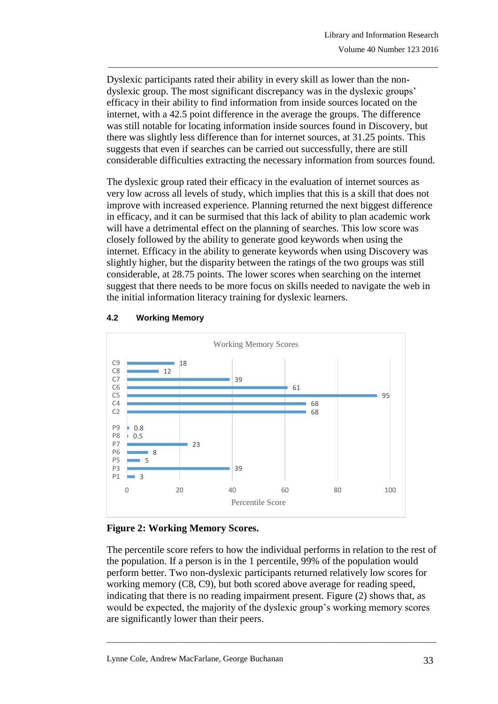Dyslexic participants rated their ability in every skill as lower than the nondyslexic group. The most significant discrepancy was in the dyslexic groups' efficacy in their ability to find information from inside sources located on the internet, with a 42.5 point difference in the average the groups. The difference was still notable for locating information inside sources found in Discovery, but there was slightly less difference than for internet sources, at 31.25 points. This suggests that even if searches can be carried out successfully, there are still considerable difficulties extracting the necessary information from sources found.

\_\_\_\_\_\_\_\_\_\_\_\_\_\_\_\_\_\_\_\_\_\_\_\_\_\_\_\_\_\_\_\_\_\_\_\_\_\_\_\_\_\_\_\_\_\_\_\_\_\_\_\_\_\_\_\_\_\_\_\_\_\_\_\_\_\_\_\_\_\_\_\_\_\_\_\_\_\_\_

The dyslexic group rated their efficacy in the evaluation of internet sources as very low across all levels of study, which implies that this is a skill that does not improve with increased experience. Planning returned the next biggest difference in efficacy, and it can be surmised that this lack of ability to plan academic work will have a detrimental effect on the planning of searches. This low score was closely followed by the ability to generate good keywords when using the internet. Efficacy in the ability to generate keywords when using Discovery was slightly higher, but the disparity between the ratings of the two groups was still considerable, at 28.75 points. The lower scores when searching on the internet suggest that there needs to be more focus on skills needed to navigate the web in the initial information literacy training for dyslexic learners.



## **4.2 Working Memory**

## **Figure 2: Working Memory Scores.**

The percentile score refers to how the individual performs in relation to the rest of the population. If a person is in the 1 percentile, 99% of the population would perform better. Two non-dyslexic participants returned relatively low scores for working memory (C8, C9), but both scored above average for reading speed, indicating that there is no reading impairment present. Figure (2) shows that, as would be expected, the majority of the dyslexic group's working memory scores are significantly lower than their peers.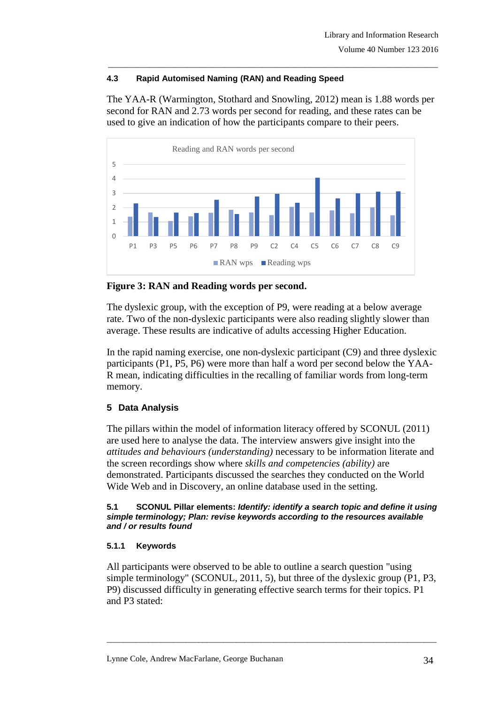# **4.3 Rapid Automised Naming (RAN) and Reading Speed**

The YAA-R (Warmington, Stothard and Snowling, 2012) mean is 1.88 words per second for RAN and 2.73 words per second for reading, and these rates can be used to give an indication of how the participants compare to their peers.

\_\_\_\_\_\_\_\_\_\_\_\_\_\_\_\_\_\_\_\_\_\_\_\_\_\_\_\_\_\_\_\_\_\_\_\_\_\_\_\_\_\_\_\_\_\_\_\_\_\_\_\_\_\_\_\_\_\_\_\_\_\_\_\_\_\_\_\_\_\_\_\_\_\_\_\_\_\_\_



**Figure 3: RAN and Reading words per second.**

The dyslexic group, with the exception of P9, were reading at a below average rate. Two of the non-dyslexic participants were also reading slightly slower than average. These results are indicative of adults accessing Higher Education.

In the rapid naming exercise, one non-dyslexic participant (C9) and three dyslexic participants (P1, P5, P6) were more than half a word per second below the YAA-R mean, indicating difficulties in the recalling of familiar words from long-term memory.

# **5 Data Analysis**

The pillars within the model of information literacy offered by SCONUL (2011) are used here to analyse the data. The interview answers give insight into the *attitudes and behaviours (understanding)* necessary to be information literate and the screen recordings show where *skills and competencies (ability)* are demonstrated. Participants discussed the searches they conducted on the World Wide Web and in Discovery, an online database used in the setting.

#### **5.1 SCONUL Pillar elements:** *Identify: identify a search topic and define it using simple terminology; Plan: revise keywords according to the resources available and / or results found*

# **5.1.1 Keywords**

All participants were observed to be able to outline a search question "using simple terminology" (SCONUL, 2011, 5), but three of the dyslexic group (P1, P3, P9) discussed difficulty in generating effective search terms for their topics. P1 and P3 stated: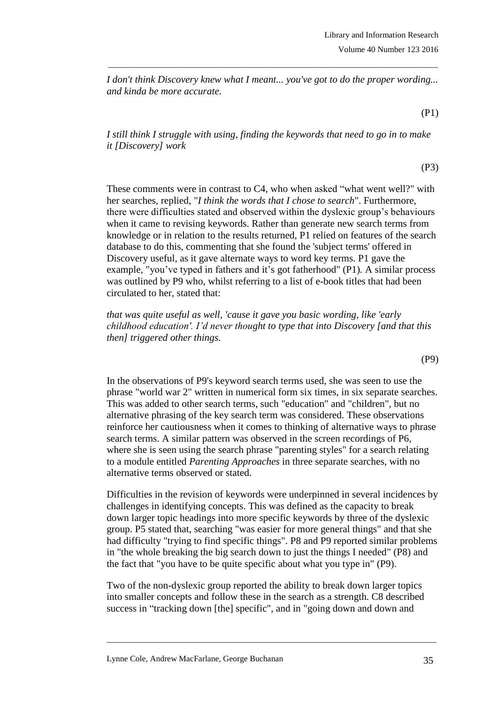*I don't think Discovery knew what I meant... you've got to do the proper wording... and kinda be more accurate.*

\_\_\_\_\_\_\_\_\_\_\_\_\_\_\_\_\_\_\_\_\_\_\_\_\_\_\_\_\_\_\_\_\_\_\_\_\_\_\_\_\_\_\_\_\_\_\_\_\_\_\_\_\_\_\_\_\_\_\_\_\_\_\_\_\_\_\_\_\_\_\_\_\_\_\_\_\_\_\_

(P1)

*I still think I struggle with using, finding the keywords that need to go in to make it [Discovery] work*

(P3)

(P9)

These comments were in contrast to C4, who when asked "what went well?" with her searches, replied, "*I think the words that I chose to search*". Furthermore, there were difficulties stated and observed within the dyslexic group's behaviours when it came to revising keywords. Rather than generate new search terms from knowledge or in relation to the results returned, P1 relied on features of the search database to do this, commenting that she found the 'subject terms' offered in Discovery useful, as it gave alternate ways to word key terms. P1 gave the example, "you've typed in fathers and it's got fatherhood" (P1)*.* A similar process was outlined by P9 who, whilst referring to a list of e-book titles that had been circulated to her, stated that:

*that was quite useful as well, 'cause it gave you basic wording, like 'early childhood education'. I'd never thought to type that into Discovery [and that this then] triggered other things.*

In the observations of P9's keyword search terms used, she was seen to use the phrase "world war 2" written in numerical form six times, in six separate searches. This was added to other search terms, such "education" and "children", but no alternative phrasing of the key search term was considered. These observations reinforce her cautiousness when it comes to thinking of alternative ways to phrase

search terms. A similar pattern was observed in the screen recordings of P6, where she is seen using the search phrase "parenting styles" for a search relating to a module entitled *Parenting Approaches* in three separate searches, with no alternative terms observed or stated.

Difficulties in the revision of keywords were underpinned in several incidences by challenges in identifying concepts. This was defined as the capacity to break down larger topic headings into more specific keywords by three of the dyslexic group. P5 stated that, searching "was easier for more general things" and that she had difficulty "trying to find specific things". P8 and P9 reported similar problems in "the whole breaking the big search down to just the things I needed" (P8) and the fact that "you have to be quite specific about what you type in" (P9).

Two of the non-dyslexic group reported the ability to break down larger topics into smaller concepts and follow these in the search as a strength. C8 described success in "tracking down [the] specific", and in "going down and down and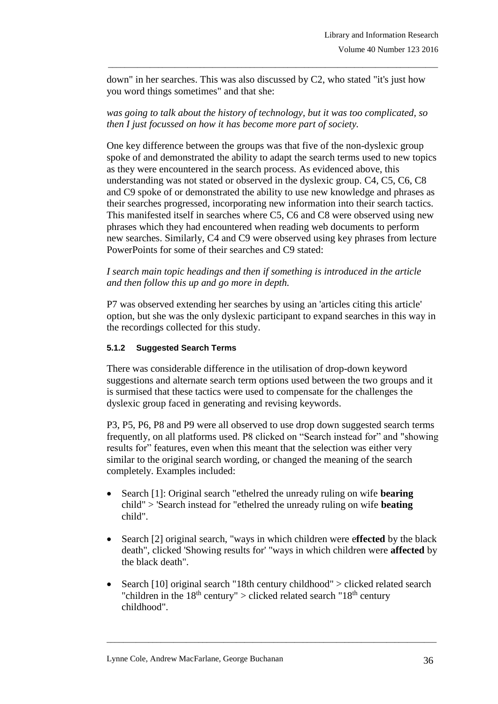down" in her searches. This was also discussed by C2, who stated "it's just how you word things sometimes" and that she:

\_\_\_\_\_\_\_\_\_\_\_\_\_\_\_\_\_\_\_\_\_\_\_\_\_\_\_\_\_\_\_\_\_\_\_\_\_\_\_\_\_\_\_\_\_\_\_\_\_\_\_\_\_\_\_\_\_\_\_\_\_\_\_\_\_\_\_\_\_\_\_\_\_\_\_\_\_\_\_

*was going to talk about the history of technology, but it was too complicated, so then I just focussed on how it has become more part of society.*

One key difference between the groups was that five of the non-dyslexic group spoke of and demonstrated the ability to adapt the search terms used to new topics as they were encountered in the search process. As evidenced above, this understanding was not stated or observed in the dyslexic group. C4, C5, C6, C8 and C9 spoke of or demonstrated the ability to use new knowledge and phrases as their searches progressed, incorporating new information into their search tactics. This manifested itself in searches where C5, C6 and C8 were observed using new phrases which they had encountered when reading web documents to perform new searches. Similarly, C4 and C9 were observed using key phrases from lecture PowerPoints for some of their searches and C9 stated:

*I search main topic headings and then if something is introduced in the article and then follow this up and go more in depth.*

P7 was observed extending her searches by using an 'articles citing this article' option, but she was the only dyslexic participant to expand searches in this way in the recordings collected for this study.

## **5.1.2 Suggested Search Terms**

There was considerable difference in the utilisation of drop-down keyword suggestions and alternate search term options used between the two groups and it is surmised that these tactics were used to compensate for the challenges the dyslexic group faced in generating and revising keywords.

P3, P5, P6, P8 and P9 were all observed to use drop down suggested search terms frequently, on all platforms used. P8 clicked on "Search instead for" and "showing results for" features, even when this meant that the selection was either very similar to the original search wording, or changed the meaning of the search completely. Examples included:

- Search [1]: Original search "ethelred the unready ruling on wife **bearing** child" > 'Search instead for "ethelred the unready ruling on wife **beating** child".
- Search [2] original search, "ways in which children were e**ffected** by the black death", clicked 'Showing results for' "ways in which children were **affected** by the black death".
- Search [10] original search "18th century childhood" > clicked related search "children in the  $18<sup>th</sup>$  century" > clicked related search " $18<sup>th</sup>$  century" childhood".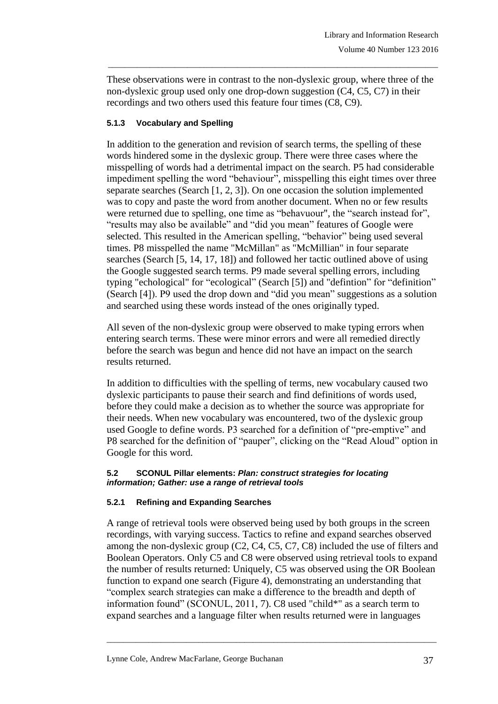These observations were in contrast to the non-dyslexic group, where three of the non-dyslexic group used only one drop-down suggestion (C4, C5, C7) in their recordings and two others used this feature four times (C8, C9).

\_\_\_\_\_\_\_\_\_\_\_\_\_\_\_\_\_\_\_\_\_\_\_\_\_\_\_\_\_\_\_\_\_\_\_\_\_\_\_\_\_\_\_\_\_\_\_\_\_\_\_\_\_\_\_\_\_\_\_\_\_\_\_\_\_\_\_\_\_\_\_\_\_\_\_\_\_\_\_

## **5.1.3 Vocabulary and Spelling**

In addition to the generation and revision of search terms, the spelling of these words hindered some in the dyslexic group. There were three cases where the misspelling of words had a detrimental impact on the search. P5 had considerable impediment spelling the word "behaviour", misspelling this eight times over three separate searches (Search [1, 2, 3]). On one occasion the solution implemented was to copy and paste the word from another document. When no or few results were returned due to spelling, one time as "behavuour", the "search instead for", "results may also be available" and "did you mean" features of Google were selected. This resulted in the American spelling, "behavior" being used several times. P8 misspelled the name "McMillan" as "McMillian" in four separate searches (Search [5, 14, 17, 18]) and followed her tactic outlined above of using the Google suggested search terms. P9 made several spelling errors, including typing "echological" for "ecological" (Search [5]) and "defintion" for "definition" (Search [4]). P9 used the drop down and "did you mean" suggestions as a solution and searched using these words instead of the ones originally typed.

All seven of the non-dyslexic group were observed to make typing errors when entering search terms. These were minor errors and were all remedied directly before the search was begun and hence did not have an impact on the search results returned.

In addition to difficulties with the spelling of terms, new vocabulary caused two dyslexic participants to pause their search and find definitions of words used, before they could make a decision as to whether the source was appropriate for their needs. When new vocabulary was encountered, two of the dyslexic group used Google to define words. P3 searched for a definition of "pre-emptive" and P8 searched for the definition of "pauper", clicking on the "Read Aloud" option in Google for this word.

### **5.2 SCONUL Pillar elements:** *Plan: construct strategies for locating information; Gather: use a range of retrieval tools*

## **5.2.1 Refining and Expanding Searches**

A range of retrieval tools were observed being used by both groups in the screen recordings, with varying success. Tactics to refine and expand searches observed among the non-dyslexic group (C2, C4, C5, C7, C8) included the use of filters and Boolean Operators. Only C5 and C8 were observed using retrieval tools to expand the number of results returned: Uniquely, C5 was observed using the OR Boolean function to expand one search (Figure 4), demonstrating an understanding that "complex search strategies can make a difference to the breadth and depth of information found" (SCONUL, 2011, 7). C8 used "child\*" as a search term to expand searches and a language filter when results returned were in languages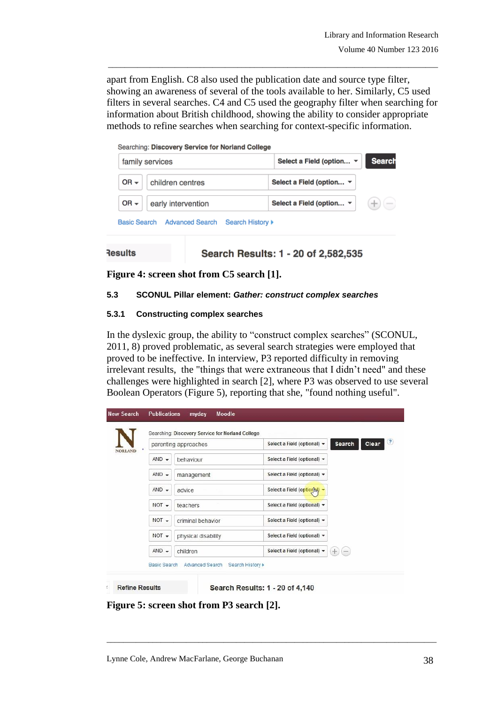apart from English. C8 also used the publication date and source type filter, showing an awareness of several of the tools available to her. Similarly, C5 used filters in several searches. C4 and C5 used the geography filter when searching for information about British childhood, showing the ability to consider appropriate methods to refine searches when searching for context-specific information.

\_\_\_\_\_\_\_\_\_\_\_\_\_\_\_\_\_\_\_\_\_\_\_\_\_\_\_\_\_\_\_\_\_\_\_\_\_\_\_\_\_\_\_\_\_\_\_\_\_\_\_\_\_\_\_\_\_\_\_\_\_\_\_\_\_\_\_\_\_\_\_\_\_\_\_\_\_\_\_

| Searching: Discovery Service for Norland College                         |                                                              |
|--------------------------------------------------------------------------|--------------------------------------------------------------|
| family services                                                          | <b>Search</b><br>Select a Field (option $\blacktriangledown$ |
| $OR -$<br>children centres                                               | Select a Field (option ▼                                     |
| OR $\star$<br>early intervention                                         | Select a Field (option $\blacktriangledown$                  |
| <b>Advanced Search</b><br><b>Basic Search</b><br><b>Search History ▶</b> |                                                              |

```
Results
```
Search Results: 1 - 20 of 2,582,535

**Figure 4: screen shot from C5 search [1].**

## **5.3 SCONUL Pillar element:** *Gather: construct complex searches*

### **5.3.1 Constructing complex searches**

In the dyslexic group, the ability to "construct complex searches" (SCONUL, 2011, 8) proved problematic, as several search strategies were employed that proved to be ineffective. In interview, P3 reported difficulty in removing irrelevant results, the "things that were extraneous that I didn't need" and these challenges were highlighted in search [2], where P3 was observed to use several Boolean Operators (Figure 5), reporting that she, "found nothing useful".

|                    |                      | Searching: Discovery Service for Norland College |                             |        |              |
|--------------------|----------------------|--------------------------------------------------|-----------------------------|--------|--------------|
| NORLAND            |                      | parenting approaches                             | Select a Field (optional) - | Search | (2)<br>Clear |
|                    | $AND -$<br>behaviour |                                                  | Select a Field (optional) - |        |              |
| $AND -$<br>$AND -$ |                      | management                                       | Select a Field (optional) - |        |              |
|                    |                      | advice                                           | Select a Field (option N) - |        |              |
|                    | $NOT -$              | teachers                                         | Select a Field (optional) - |        |              |
|                    | $NOT -$              | criminal behavior                                | Select a Field (optional) - |        |              |
|                    | $NOT -$              | physical disability                              | Select a Field (optional) = |        |              |
|                    | $AND -$<br>children  |                                                  | Select a Field (optional) + | ÷.     |              |
|                    | Basic Search         | Advanced Search<br>Search History >              |                             |        |              |

**Figure 5: screen shot from P3 search [2].**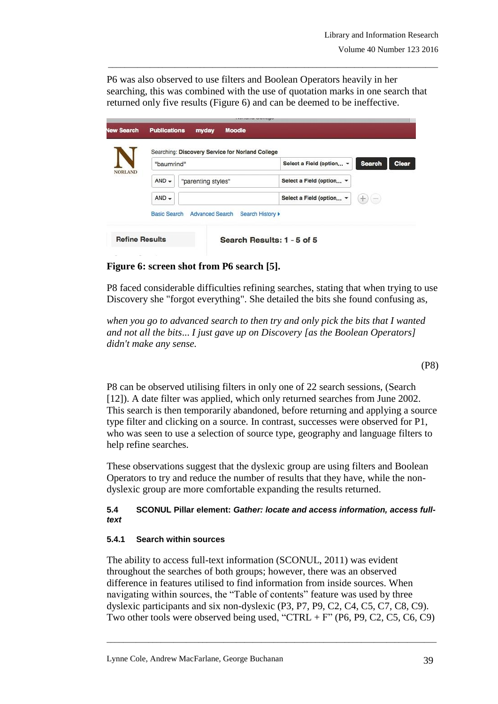P6 was also observed to use filters and Boolean Operators heavily in her searching, this was combined with the use of quotation marks in one search that returned only five results (Figure 6) and can be deemed to be ineffective.

\_\_\_\_\_\_\_\_\_\_\_\_\_\_\_\_\_\_\_\_\_\_\_\_\_\_\_\_\_\_\_\_\_\_\_\_\_\_\_\_\_\_\_\_\_\_\_\_\_\_\_\_\_\_\_\_\_\_\_\_\_\_\_\_\_\_\_\_\_\_\_\_\_\_\_\_\_\_\_

|                       |                                             | <b>LAPLATER MARINER</b>                          |                            |                                               |
|-----------------------|---------------------------------------------|--------------------------------------------------|----------------------------|-----------------------------------------------|
| lew Search            | <b>Publications</b>                         | <b>Moodle</b><br>myday                           |                            |                                               |
|                       |                                             | Searching: Discovery Service for Norland College |                            |                                               |
|                       | "baumrind"<br>$AND -$<br>"parenting styles" |                                                  | Select a Field (option v   | Clear<br><b>Search</b>                        |
| <b>NORLAND</b>        |                                             |                                                  | Select a Field (option v   |                                               |
|                       | $AND -$                                     |                                                  | Select a Field (option -   | $+$<br>$\left(\frac{1}{2},\frac{1}{2}\right)$ |
|                       | <b>Basic Search</b>                         | <b>Advanced Search</b>                           | Search History >           |                                               |
| <b>Refine Results</b> |                                             |                                                  | Search Results: 1 - 5 of 5 |                                               |

**Figure 6: screen shot from P6 search [5].**

P8 faced considerable difficulties refining searches, stating that when trying to use Discovery she "forgot everything". She detailed the bits she found confusing as,

*when you go to advanced search to then try and only pick the bits that I wanted and not all the bits*... *I just gave up on Discovery [as the Boolean Operators] didn't make any sense.*

(P8)

P8 can be observed utilising filters in only one of 22 search sessions, (Search [12]). A date filter was applied, which only returned searches from June 2002. This search is then temporarily abandoned, before returning and applying a source type filter and clicking on a source. In contrast, successes were observed for P1, who was seen to use a selection of source type, geography and language filters to help refine searches.

These observations suggest that the dyslexic group are using filters and Boolean Operators to try and reduce the number of results that they have, while the nondyslexic group are more comfortable expanding the results returned.

## **5.4 SCONUL Pillar element:** *Gather: locate and access information, access fulltext*

## **5.4.1 Search within sources**

The ability to access full-text information (SCONUL, 2011) was evident throughout the searches of both groups; however, there was an observed difference in features utilised to find information from inside sources. When navigating within sources, the "Table of contents" feature was used by three dyslexic participants and six non-dyslexic (P3, P7, P9, C2, C4, C5, C7, C8, C9). Two other tools were observed being used, "CTRL + F" (P6, P9, C2, C5, C6, C9)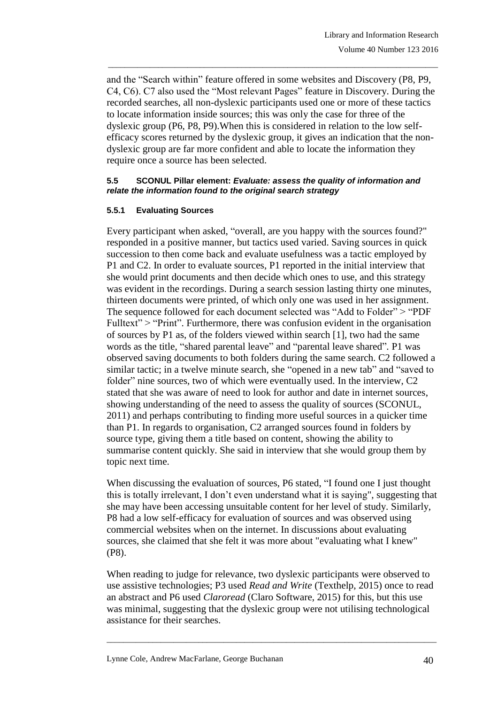and the "Search within" feature offered in some websites and Discovery (P8, P9, C4, C6). C7 also used the "Most relevant Pages" feature in Discovery. During the recorded searches, all non-dyslexic participants used one or more of these tactics to locate information inside sources; this was only the case for three of the dyslexic group (P6, P8, P9).When this is considered in relation to the low selfefficacy scores returned by the dyslexic group, it gives an indication that the nondyslexic group are far more confident and able to locate the information they require once a source has been selected.

\_\_\_\_\_\_\_\_\_\_\_\_\_\_\_\_\_\_\_\_\_\_\_\_\_\_\_\_\_\_\_\_\_\_\_\_\_\_\_\_\_\_\_\_\_\_\_\_\_\_\_\_\_\_\_\_\_\_\_\_\_\_\_\_\_\_\_\_\_\_\_\_\_\_\_\_\_\_\_

#### **5.5 SCONUL Pillar element:** *Evaluate: assess the quality of information and relate the information found to the original search strategy*

## **5.5.1 Evaluating Sources**

Every participant when asked, "overall, are you happy with the sources found?" responded in a positive manner, but tactics used varied. Saving sources in quick succession to then come back and evaluate usefulness was a tactic employed by P1 and C2. In order to evaluate sources, P1 reported in the initial interview that she would print documents and then decide which ones to use, and this strategy was evident in the recordings. During a search session lasting thirty one minutes, thirteen documents were printed, of which only one was used in her assignment. The sequence followed for each document selected was "Add to Folder" > "PDF Fulltext" > "Print". Furthermore, there was confusion evident in the organisation of sources by P1 as, of the folders viewed within search [1], two had the same words as the title, "shared parental leave" and "parental leave shared"*.* P1 was observed saving documents to both folders during the same search. C2 followed a similar tactic; in a twelve minute search, she "opened in a new tab" and "saved to folder" nine sources, two of which were eventually used. In the interview, C2 stated that she was aware of need to look for author and date in internet sources, showing understanding of the need to assess the quality of sources (SCONUL, 2011) and perhaps contributing to finding more useful sources in a quicker time than P1. In regards to organisation, C2 arranged sources found in folders by source type, giving them a title based on content, showing the ability to summarise content quickly. She said in interview that she would group them by topic next time.

When discussing the evaluation of sources, P6 stated, "I found one I just thought this is totally irrelevant, I don't even understand what it is saying", suggesting that she may have been accessing unsuitable content for her level of study. Similarly, P8 had a low self-efficacy for evaluation of sources and was observed using commercial websites when on the internet. In discussions about evaluating sources, she claimed that she felt it was more about "evaluating what I knew" (P8).

When reading to judge for relevance, two dyslexic participants were observed to use assistive technologies; P3 used *Read and Write* (Texthelp, 2015) once to read an abstract and P6 used *Claroread* (Claro Software, 2015) for this, but this use was minimal, suggesting that the dyslexic group were not utilising technological assistance for their searches.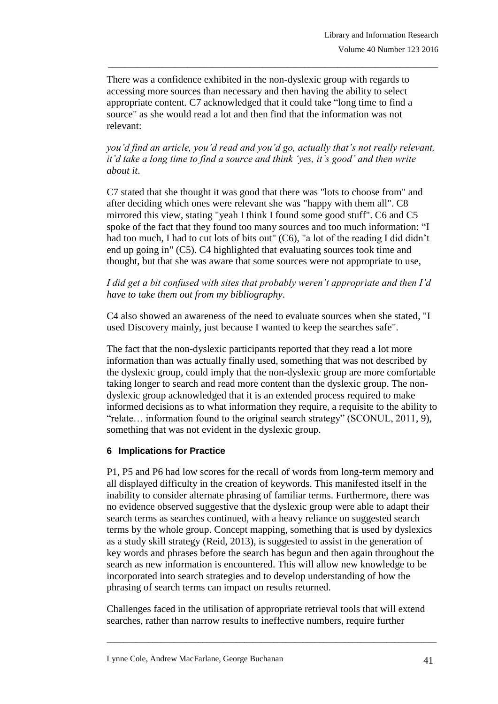There was a confidence exhibited in the non-dyslexic group with regards to accessing more sources than necessary and then having the ability to select appropriate content. C7 acknowledged that it could take "long time to find a source" as she would read a lot and then find that the information was not relevant:

\_\_\_\_\_\_\_\_\_\_\_\_\_\_\_\_\_\_\_\_\_\_\_\_\_\_\_\_\_\_\_\_\_\_\_\_\_\_\_\_\_\_\_\_\_\_\_\_\_\_\_\_\_\_\_\_\_\_\_\_\_\_\_\_\_\_\_\_\_\_\_\_\_\_\_\_\_\_\_

*you'd find an article, you'd read and you'd go, actually that's not really relevant, it'd take a long time to find a source and think 'yes, it's good' and then write about it*.

C7 stated that she thought it was good that there was "lots to choose from" and after deciding which ones were relevant she was "happy with them all". C8 mirrored this view, stating "yeah I think I found some good stuff". C6 and C5 spoke of the fact that they found too many sources and too much information: "I had too much, I had to cut lots of bits out" (C6), "a lot of the reading I did didn't end up going in" (C5). C4 highlighted that evaluating sources took time and thought, but that she was aware that some sources were not appropriate to use,

*I did get a bit confused with sites that probably weren't appropriate and then I'd have to take them out from my bibliography*.

C4 also showed an awareness of the need to evaluate sources when she stated, "I used Discovery mainly, just because I wanted to keep the searches safe".

The fact that the non-dyslexic participants reported that they read a lot more information than was actually finally used, something that was not described by the dyslexic group, could imply that the non-dyslexic group are more comfortable taking longer to search and read more content than the dyslexic group. The nondyslexic group acknowledged that it is an extended process required to make informed decisions as to what information they require, a requisite to the ability to "relate… information found to the original search strategy" (SCONUL, 2011, 9), something that was not evident in the dyslexic group.

## **6 Implications for Practice**

P1, P5 and P6 had low scores for the recall of words from long-term memory and all displayed difficulty in the creation of keywords. This manifested itself in the inability to consider alternate phrasing of familiar terms. Furthermore, there was no evidence observed suggestive that the dyslexic group were able to adapt their search terms as searches continued, with a heavy reliance on suggested search terms by the whole group. Concept mapping, something that is used by dyslexics as a study skill strategy (Reid, 2013), is suggested to assist in the generation of key words and phrases before the search has begun and then again throughout the search as new information is encountered. This will allow new knowledge to be incorporated into search strategies and to develop understanding of how the phrasing of search terms can impact on results returned.

Challenges faced in the utilisation of appropriate retrieval tools that will extend searches, rather than narrow results to ineffective numbers, require further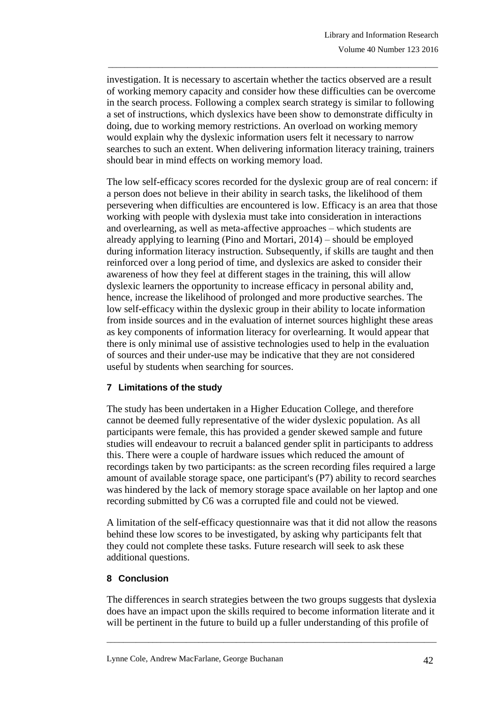investigation. It is necessary to ascertain whether the tactics observed are a result of working memory capacity and consider how these difficulties can be overcome in the search process. Following a complex search strategy is similar to following a set of instructions, which dyslexics have been show to demonstrate difficulty in doing, due to working memory restrictions. An overload on working memory would explain why the dyslexic information users felt it necessary to narrow searches to such an extent. When delivering information literacy training, trainers should bear in mind effects on working memory load.

\_\_\_\_\_\_\_\_\_\_\_\_\_\_\_\_\_\_\_\_\_\_\_\_\_\_\_\_\_\_\_\_\_\_\_\_\_\_\_\_\_\_\_\_\_\_\_\_\_\_\_\_\_\_\_\_\_\_\_\_\_\_\_\_\_\_\_\_\_\_\_\_\_\_\_\_\_\_\_

The low self-efficacy scores recorded for the dyslexic group are of real concern: if a person does not believe in their ability in search tasks, the likelihood of them persevering when difficulties are encountered is low. Efficacy is an area that those working with people with dyslexia must take into consideration in interactions and overlearning, as well as meta-affective approaches – which students are already applying to learning (Pino and Mortari, 2014) – should be employed during information literacy instruction. Subsequently, if skills are taught and then reinforced over a long period of time, and dyslexics are asked to consider their awareness of how they feel at different stages in the training, this will allow dyslexic learners the opportunity to increase efficacy in personal ability and, hence, increase the likelihood of prolonged and more productive searches. The low self-efficacy within the dyslexic group in their ability to locate information from inside sources and in the evaluation of internet sources highlight these areas as key components of information literacy for overlearning. It would appear that there is only minimal use of assistive technologies used to help in the evaluation of sources and their under-use may be indicative that they are not considered useful by students when searching for sources.

## **7 Limitations of the study**

The study has been undertaken in a Higher Education College, and therefore cannot be deemed fully representative of the wider dyslexic population. As all participants were female, this has provided a gender skewed sample and future studies will endeavour to recruit a balanced gender split in participants to address this. There were a couple of hardware issues which reduced the amount of recordings taken by two participants: as the screen recording files required a large amount of available storage space, one participant's (P7) ability to record searches was hindered by the lack of memory storage space available on her laptop and one recording submitted by C6 was a corrupted file and could not be viewed.

A limitation of the self-efficacy questionnaire was that it did not allow the reasons behind these low scores to be investigated, by asking why participants felt that they could not complete these tasks. Future research will seek to ask these additional questions.

# **8 Conclusion**

The differences in search strategies between the two groups suggests that dyslexia does have an impact upon the skills required to become information literate and it will be pertinent in the future to build up a fuller understanding of this profile of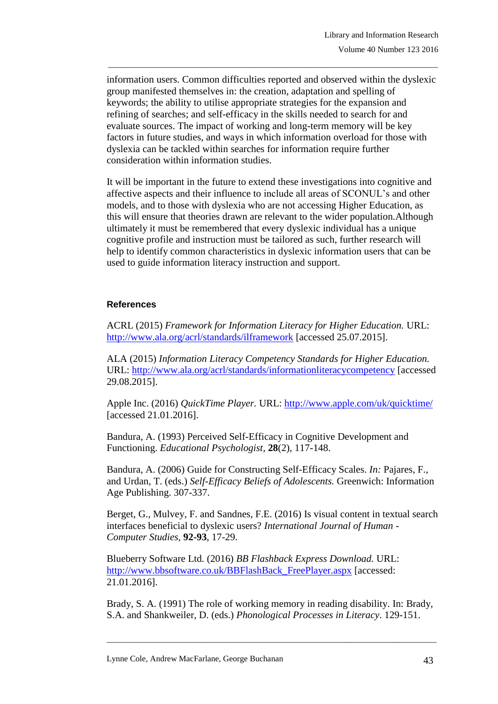information users. Common difficulties reported and observed within the dyslexic group manifested themselves in: the creation, adaptation and spelling of keywords; the ability to utilise appropriate strategies for the expansion and refining of searches; and self-efficacy in the skills needed to search for and evaluate sources. The impact of working and long-term memory will be key factors in future studies, and ways in which information overload for those with dyslexia can be tackled within searches for information require further consideration within information studies.

\_\_\_\_\_\_\_\_\_\_\_\_\_\_\_\_\_\_\_\_\_\_\_\_\_\_\_\_\_\_\_\_\_\_\_\_\_\_\_\_\_\_\_\_\_\_\_\_\_\_\_\_\_\_\_\_\_\_\_\_\_\_\_\_\_\_\_\_\_\_\_\_\_\_\_\_\_\_\_

It will be important in the future to extend these investigations into cognitive and affective aspects and their influence to include all areas of SCONUL's and other models, and to those with dyslexia who are not accessing Higher Education, as this will ensure that theories drawn are relevant to the wider population.Although ultimately it must be remembered that every dyslexic individual has a unique cognitive profile and instruction must be tailored as such, further research will help to identify common characteristics in dyslexic information users that can be used to guide information literacy instruction and support.

## **References**

ACRL (2015) *Framework for Information Literacy for Higher Education.* URL: <http://www.ala.org/acrl/standards/ilframework> [accessed 25.07.2015].

ALA (2015) *Information Literacy Competency Standards for Higher Education.*  URL:<http://www.ala.org/acrl/standards/informationliteracycompetency> [accessed 29.08.2015].

Apple Inc. (2016) *QuickTime Player.* URL:<http://www.apple.com/uk/quicktime/> [accessed 21.01.2016].

Bandura, A. (1993) Perceived Self-Efficacy in Cognitive Development and Functioning. *Educational Psychologist,* **28**(2), 117-148.

Bandura, A. (2006) Guide for Constructing Self-Efficacy Scales. *In:* Pajares, F., and Urdan, T. (eds.) *Self-Efficacy Beliefs of Adolescents.* Greenwich: Information Age Publishing. 307-337.

Berget, G., Mulvey, F. and Sandnes, F.E. (2016) Is visual content in textual search interfaces beneficial to dyslexic users? *International Journal of Human - Computer Studies,* **92-93**, 17-29.

Blueberry Software Ltd. (2016) *BB Flashback Express Download.* URL: [http://www.bbsoftware.co.uk/BBFlashBack\\_FreePlayer.aspx](http://www.bbsoftware.co.uk/BBFlashBack_FreePlayer.aspx) [accessed: 21.01.2016].

Brady, S. A. (1991) The role of working memory in reading disability. In: Brady, S.A. and Shankweiler, D. (eds.) *Phonological Processes in Literacy*. 129-151.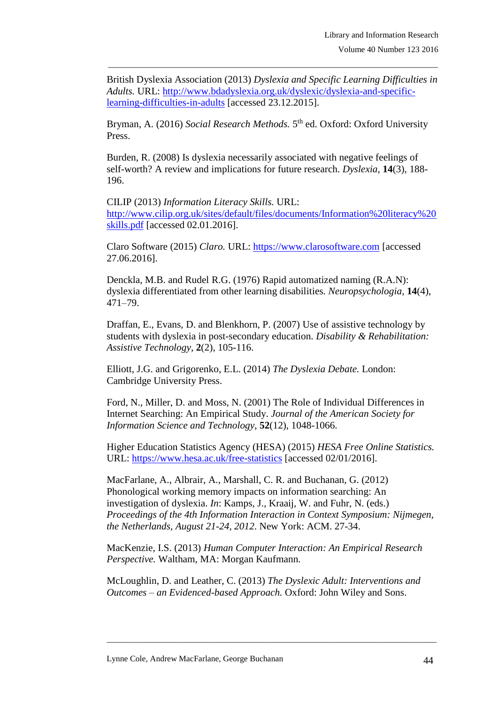British Dyslexia Association (2013) *Dyslexia and Specific Learning Difficulties in Adults.* URL: [http://www.bdadyslexia.org.uk/dyslexic/dyslexia-and-specific](http://www.bdadyslexia.org.uk/dyslexic/dyslexia-and-specific-learning-difficulties-in-adults)[learning-difficulties-in-adults](http://www.bdadyslexia.org.uk/dyslexic/dyslexia-and-specific-learning-difficulties-in-adults) [accessed 23.12.2015].

\_\_\_\_\_\_\_\_\_\_\_\_\_\_\_\_\_\_\_\_\_\_\_\_\_\_\_\_\_\_\_\_\_\_\_\_\_\_\_\_\_\_\_\_\_\_\_\_\_\_\_\_\_\_\_\_\_\_\_\_\_\_\_\_\_\_\_\_\_\_\_\_\_\_\_\_\_\_\_

Bryman, A. (2016) *Social Research Methods*. 5<sup>th</sup> ed. Oxford: Oxford University Press.

Burden, R. (2008) Is dyslexia necessarily associated with negative feelings of self-worth? A review and implications for future research. *Dyslexia,* **14**(3), 188- 196.

CILIP (2013) *Information Literacy Skills.* URL: [http://www.cilip.org.uk/sites/default/files/documents/Information%20literacy%20](http://www.cilip.org.uk/sites/default/files/documents/Information%20literacy%20skills.pdf) [skills.pdf](http://www.cilip.org.uk/sites/default/files/documents/Information%20literacy%20skills.pdf) [accessed 02.01.2016].

Claro Software (2015) *Claro.* URL: [https://www.clarosoftware.com](https://www.clarosoftware.com/) [accessed 27.06.2016].

Denckla, M.B. and Rudel R.G. (1976) Rapid automatized naming (R.A.N): dyslexia differentiated from other learning disabilities*. Neuropsychologia,* **14**(4), 471–79.

Draffan, E., Evans, D. and Blenkhorn, P. (2007) Use of assistive technology by students with dyslexia in post-secondary education. *Disability & Rehabilitation: Assistive Technology*, **2**(2), 105-116.

Elliott, J.G. and Grigorenko, E.L. (2014) *The Dyslexia Debate.* London: Cambridge University Press.

Ford, N., Miller, D. and Moss, N. (2001) The Role of Individual Differences in Internet Searching: An Empirical Study. *Journal of the American Society for Information Science and Technology,* **52**(12), 1048-1066.

Higher Education Statistics Agency (HESA) (2015) *HESA Free Online Statistics.*  URL:<https://www.hesa.ac.uk/free-statistics> [accessed 02/01/2016].

MacFarlane, A., Albrair, A., Marshall, C. R. and Buchanan, G. (2012) Phonological working memory impacts on information searching: An investigation of dyslexia. *In*: Kamps, J., Kraaij, W. and Fuhr, N. (eds.) *Proceedings of the 4th Information Interaction in Context Symposium: Nijmegen, the Netherlands, August 21-24, 2012*. New York: ACM. 27-34.

MacKenzie, I.S. (2013) *Human Computer Interaction: An Empirical Research Perspective.* Waltham, MA: Morgan Kaufmann.

McLoughlin, D. and Leather, C. (2013) *The Dyslexic Adult: Interventions and Outcomes – an Evidenced-based Approach.* Oxford: John Wiley and Sons.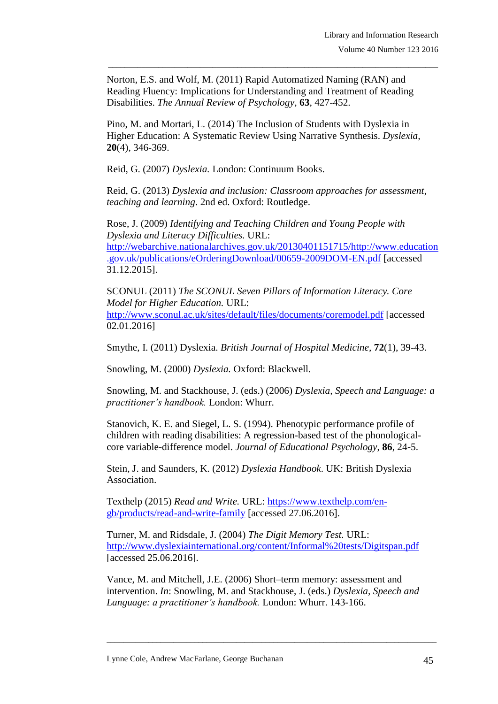Norton, E.S. and Wolf, M. (2011) Rapid Automatized Naming (RAN) and Reading Fluency: Implications for Understanding and Treatment of Reading Disabilities. *The Annual Review of Psychology,* **63**, 427-452.

\_\_\_\_\_\_\_\_\_\_\_\_\_\_\_\_\_\_\_\_\_\_\_\_\_\_\_\_\_\_\_\_\_\_\_\_\_\_\_\_\_\_\_\_\_\_\_\_\_\_\_\_\_\_\_\_\_\_\_\_\_\_\_\_\_\_\_\_\_\_\_\_\_\_\_\_\_\_\_

Pino, M. and Mortari, L. (2014) The Inclusion of Students with Dyslexia in Higher Education: A Systematic Review Using Narrative Synthesis. *Dyslexia,* **20**(4), 346-369.

Reid, G. (2007) *Dyslexia.* London: Continuum Books.

Reid, G. (2013) *Dyslexia and inclusion: Classroom approaches for assessment, teaching and learning*. 2nd ed. Oxford: Routledge.

Rose, J. (2009) *Identifying and Teaching Children and Young People with Dyslexia and Literacy Difficulties.* URL: [http://webarchive.nationalarchives.gov.uk/20130401151715/http://www.education](http://webarchive.nationalarchives.gov.uk/20130401151715/http:/www.education.gov.uk/publications/eOrderingDownload/00659-2009DOM-EN.pdf) [.gov.uk/publications/eOrderingDownload/00659-2009DOM-EN.pdf](http://webarchive.nationalarchives.gov.uk/20130401151715/http:/www.education.gov.uk/publications/eOrderingDownload/00659-2009DOM-EN.pdf) [accessed 31.12.2015].

SCONUL (2011) *The SCONUL Seven Pillars of Information Literacy. Core Model for Higher Education.* URL: <http://www.sconul.ac.uk/sites/default/files/documents/coremodel.pdf> [accessed 02.01.2016]

Smythe, I. (2011) Dyslexia. *British Journal of Hospital Medicine,* **72**(1), 39-43.

Snowling, M. (2000) *Dyslexia.* Oxford: Blackwell.

Snowling, M. and Stackhouse, J. (eds.) (2006) *Dyslexia, Speech and Language: a practitioner's handbook.* London: Whurr.

Stanovich, K. E. and Siegel, L. S. (1994). Phenotypic performance profile of children with reading disabilities: A regression-based test of the phonologicalcore variable-difference model. *Journal of Educational Psychology*, **86**, 24-5.

Stein, J. and Saunders, K. (2012) *Dyslexia Handbook*. UK: British Dyslexia Association.

Texthelp (2015) *Read and Write.* URL: [https://www.texthelp.com/en](https://www.texthelp.com/en-gb/products/read-and-write-family)[gb/products/read-and-write-family](https://www.texthelp.com/en-gb/products/read-and-write-family) [accessed 27.06.2016].

Turner, M. and Ridsdale, J. (2004) *The Digit Memory Test.* URL: [http://www.dyslexiainternational.org/content/Informal%20tests/Digitspan.pdf](http://www.dyslexia-international.org/content/Informal%20tests/Digitspan.pdf) [accessed 25.06.2016].

Vance, M. and Mitchell, J.E. (2006) Short–term memory: assessment and intervention. *In*: Snowling, M. and Stackhouse, J. (eds.) *Dyslexia, Speech and Language: a practitioner's handbook.* London: Whurr. 143-166.